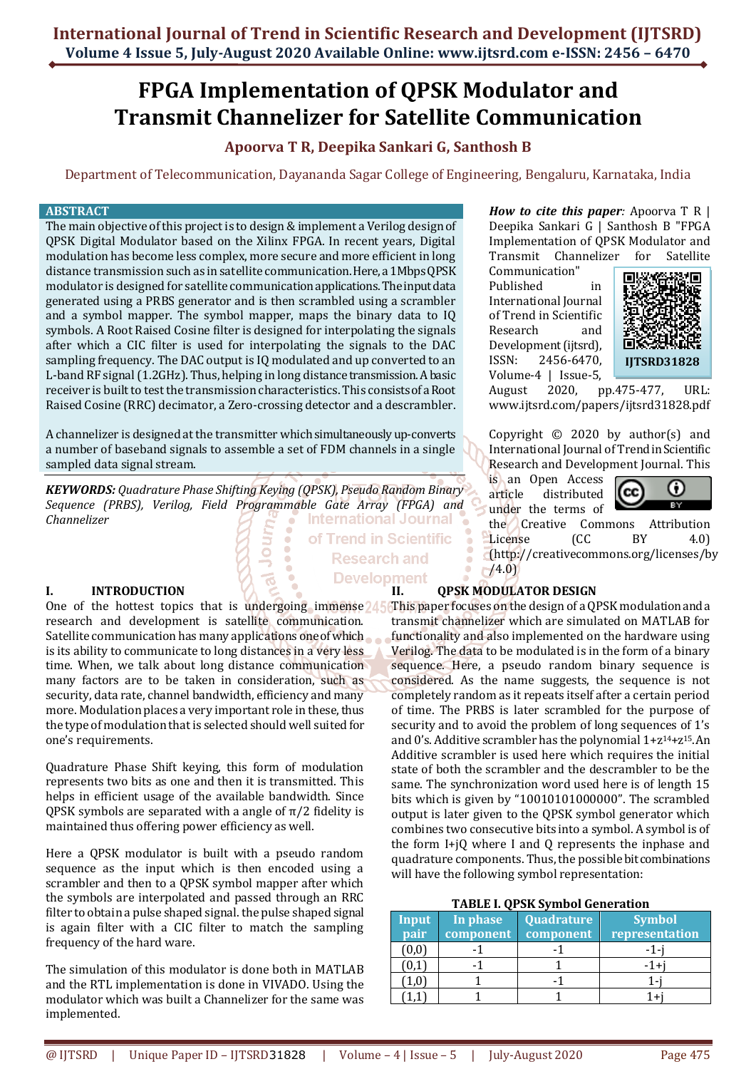## **FPGA Implementation of QPSK Modulator and Transmit Channelizer for Satellite Communication**

### **Apoorva T R, Deepika Sankari G, Santhosh B**

Department of Telecommunication, Dayananda Sagar College of Engineering, Bengaluru, Karnataka, India

**Research and** 

#### **ABSTRACT**

The main objective of this project is to design & implement a Verilog design of QPSK Digital Modulator based on the Xilinx FPGA. In recent years, Digital modulation has become less complex, more secure and more efficient in long distance transmission such as in satellite communication. Here, a 1Mbps QPSK modulator is designed for satellite communication applications. The input data generated using a PRBS generator and is then scrambled using a scrambler and a symbol mapper. The symbol mapper, maps the binary data to IQ symbols. A Root Raised Cosine filter is designed for interpolating the signals after which a CIC filter is used for interpolating the signals to the DAC sampling frequency. The DAC output is IQ modulated and up converted to an L-band RF signal(1.2GHz). Thus, helping in long distance transmission. A basic receiver is built to test the transmission characteristics. This consists of a Root Raised Cosine (RRC) decimator, a Zero-crossing detector and a descrambler.

A channelizer is designed at the transmitter which simultaneously up-converts a number of baseband signals to assemble a set of FDM channels in a single sampled data signal stream.

*KEYWORDS: Quadrature Phase Shifting Keying (QPSK), Pseudo Random Binary Sequence (PRBS), Verilog, Field Programmable Gate Array (FPGA) and Channelizer* International Journal of Trend in Scientific

**I. INTRODUCTION**

research and development is satellite communication. Satellite communication has many applications one of which is its ability to communicate to long distances in a very less time. When, we talk about long distance communication many factors are to be taken in consideration, such as security, data rate, channel bandwidth, efficiency and many more. Modulation places a very important role in these, thus the type of modulation that is selected should well suited for one's requirements.

Quadrature Phase Shift keying, this form of modulation represents two bits as one and then it is transmitted. This helps in efficient usage of the available bandwidth. Since QPSK symbols are separated with a angle of  $\pi/2$  fidelity is maintained thus offering power efficiency as well.

Here a QPSK modulator is built with a pseudo random sequence as the input which is then encoded using a scrambler and then to a QPSK symbol mapper after which the symbols are interpolated and passed through an RRC filter to obtain a pulse shaped signal. the pulse shaped signal is again filter with a CIC filter to match the sampling frequency of the hard ware.

The simulation of this modulator is done both in MATLAB and the RTL implementation is done in VIVADO. Using the modulator which was built a Channelizer for the same was implemented.

*How to cite this paper:* Apoorva T R | Deepika Sankari G | Santhosh B "FPGA Implementation of QPSK Modulator and Transmit Channelizer for Satellite

Communication" Published in International Journal of Trend in Scientific Research and Development (ijtsrd), ISSN: 2456-6470, Volume-4 | Issue-5,



August 2020, pp.475-477, URL: [www.ijtsrd.com/papers/ijtsrd31828.pdf](https://www.ijtsrd.com/papers/ijtsrd31828.pdf)

Copyright © 2020 by author(s) and International Journal of Trend in Scientific Research and Development Journal. This

is an Open Access article distributed under the terms of



the Creative Commons Attribution License (CC BY 4.0) (http://creativecommons.org/licenses/by /4.0)

# **Development**<br>**II. QPSK MODULATOR DESIGN**

One of the hottest topics that is undergoing immense **This paper focuses on the design of a QPSK** modulation and a transmit channelizer which are simulated on MATLAB for functionality and also implemented on the hardware using Verilog. The data to be modulated is in the form of a binary sequence. Here, a pseudo random binary sequence is considered. As the name suggests, the sequence is not completely random as it repeats itself after a certain period of time. The PRBS is later scrambled for the purpose of security and to avoid the problem of long sequences of 1's and 0's. Additive scrambler has the polynomial 1+z14+z15. An Additive scrambler is used here which requires the initial state of both the scrambler and the descrambler to be the same. The synchronization word used here is of length 15 bits which is given by "10010101000000". The scrambled output is later given to the QPSK symbol generator which combines two consecutive bits into a symbol. A symbol is of the form I+jQ where I and Q represents the inphase and quadrature components. Thus, the possible bit combinations will have the following symbol representation:

#### **TABLE I. QPSK Symbol Generation**

| <b>Input</b><br>pair | In phase<br>component | Quadrature<br>component | <b>Symbol</b><br>representation |
|----------------------|-----------------------|-------------------------|---------------------------------|
|                      |                       |                         |                                 |
|                      |                       |                         |                                 |
|                      |                       |                         |                                 |
|                      |                       |                         |                                 |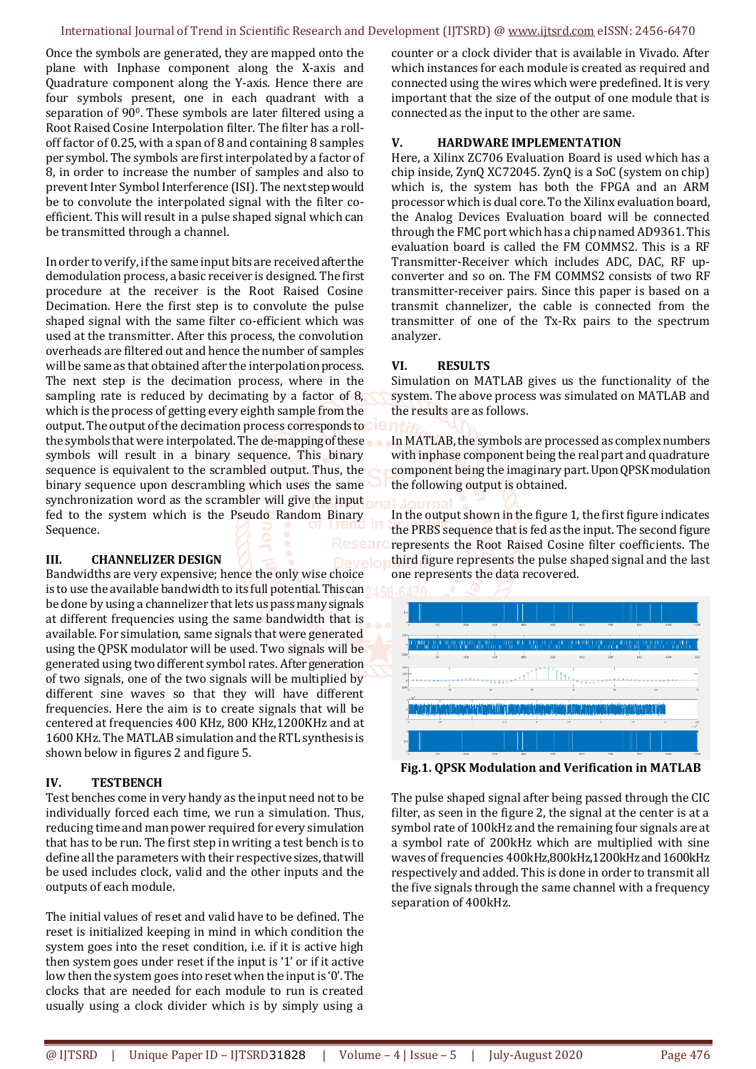#### International Journal of Trend in Scientific Research and Development (IJTSRD) @ [www.ijtsrd.com](http://www.ijtsrd.com/) eISSN: 2456-6470

Once the symbols are generated, they are mapped onto the plane with Inphase component along the X-axis and Quadrature component along the Y-axis. Hence there are four symbols present, one in each quadrant with a separation of 900. These symbols are later filtered using a Root Raised Cosine Interpolation filter. The filter has a rolloff factor of 0.25, with a span of 8 and containing 8 samples per symbol. The symbols are first interpolated by a factor of 8, in order to increase the number of samples and also to prevent Inter Symbol Interference (ISI). The next step would be to convolute the interpolated signal with the filter coefficient. This will result in a pulse shaped signal which can be transmitted through a channel.

In order to verify, if the same input bits are received after the demodulation process, a basic receiver is designed. The first procedure at the receiver is the Root Raised Cosine Decimation. Here the first step is to convolute the pulse shaped signal with the same filter co-efficient which was used at the transmitter. After this process, the convolution overheads are filtered out and hence the number of samples will be same as that obtained after the interpolation process. The next step is the decimation process, where in the sampling rate is reduced by decimating by a factor of 8, which is the process of getting every eighth sample from the output. The output of the decimation process corresponds to the symbols that were interpolated. The de-mapping of these symbols will result in a binary sequence. This binary sequence is equivalent to the scrambled output. Thus, the binary sequence upon descrambling which uses the same synchronization word as the scrambler will give the input fed to the system which is the Pseudo Random Binary Sequence.

### **III. CHANNELIZER DESIGN**

Bandwidths are very expensive; hence the only wise choice is to use the available bandwidth to its full potential. This can be done by using a channelizer that lets us pass many signals at different frequencies using the same bandwidth that is available. For simulation, same signals that were generated using the QPSK modulator will be used. Two signals will be generated using two different symbol rates. After generation of two signals, one of the two signals will be multiplied by different sine waves so that they will have different frequencies. Here the aim is to create signals that will be centered at frequencies 400 KHz, 800 KHz,1200KHz and at 1600 KHz. The MATLAB simulation and the RTL synthesis is shown below in figures 2 and figure 5.

### **IV. TESTBENCH**

Test benches come in very handy as the input need not to be individually forced each time, we run a simulation. Thus, reducing time and man power required for every simulation that has to be run. The first step in writing a test bench is to define all the parameters with their respective sizes, that will be used includes clock, valid and the other inputs and the outputs of each module.

The initial values of reset and valid have to be defined. The reset is initialized keeping in mind in which condition the system goes into the reset condition, i.e. if it is active high then system goes under reset if the input is '1' or if it active low then the system goes into reset when the input is '0'. The clocks that are needed for each module to run is created usually using a clock divider which is by simply using a counter or a clock divider that is available in Vivado. After which instances for each module is created as required and connected using the wires which were predefined. It is very important that the size of the output of one module that is connected as the input to the other are same.

#### **V. HARDWARE IMPLEMENTATION**

Here, a Xilinx ZC706 Evaluation Board is used which has a chip inside, ZynQ XC72045. ZynQ is a SoC (system on chip) which is, the system has both the FPGA and an ARM processor which is dual core. To the Xilinx evaluation board, the Analog Devices Evaluation board will be connected through the FMC port which has a chip named AD9361. This evaluation board is called the FM COMMS2. This is a RF Transmitter-Receiver which includes ADC, DAC, RF upconverter and so on. The FM COMMS2 consists of two RF transmitter-receiver pairs. Since this paper is based on a transmit channelizer, the cable is connected from the transmitter of one of the Tx-Rx pairs to the spectrum analyzer.

#### **VI. RESULTS**

Simulation on MATLAB gives us the functionality of the system. The above process was simulated on MATLAB and the results are as follows.

In MATLAB, the symbols are processed as complex numbers with inphase component being the real part and quadrature component being the imaginary part. Upon QPSK modulation the following output is obtained.

In the output shown in the figure 1, the first figure indicates the PRBS sequence that is fed as the input. The second figure represents the Root Raised Cosine filter coefficients. The third figure represents the pulse shaped signal and the last one represents the data recovered.



**Fig.1. QPSK Modulation and Verification in MATLAB**

The pulse shaped signal after being passed through the CIC filter, as seen in the figure 2, the signal at the center is at a symbol rate of 100kHz and the remaining four signals are at a symbol rate of 200kHz which are multiplied with sine waves of frequencies 400kHz,800kHz,1200kHz and 1600kHz respectively and added. This is done in order to transmit all the five signals through the same channel with a frequency separation of 400kHz.